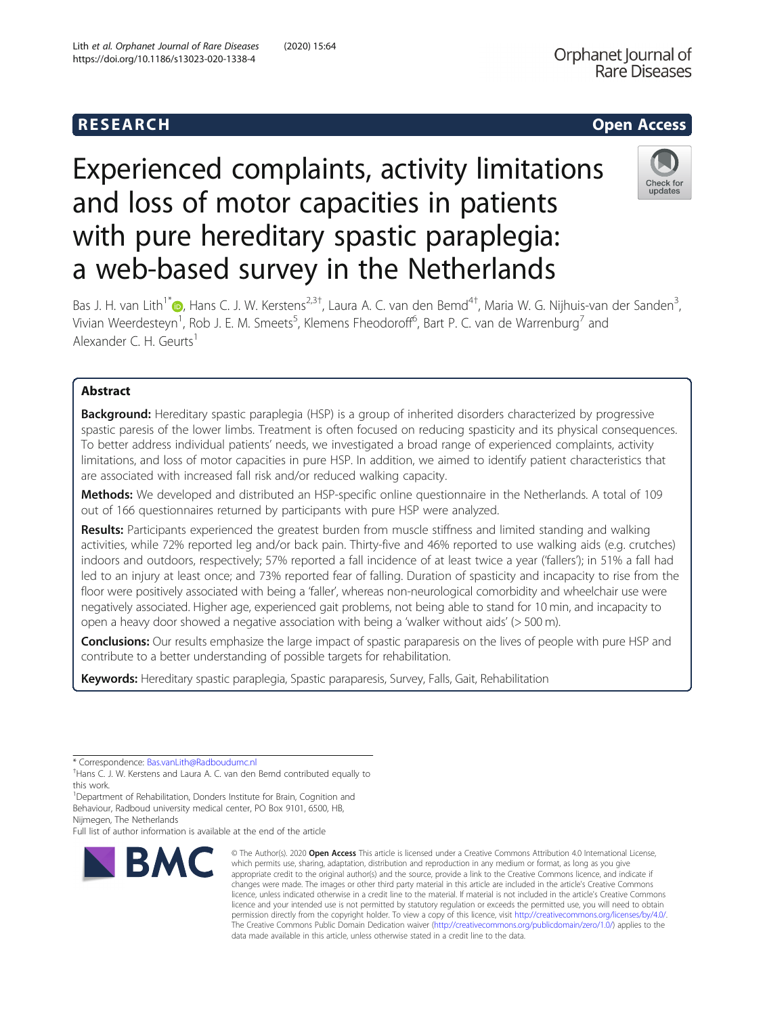## R E S EAR CH Open Access

# Experienced complaints, activity limitations and loss of motor capacities in patients with pure hereditary spastic paraplegia: a web-based survey in the Netherlands



Bas J. H. van Lith<sup>1\*</sup>®[,](http://orcid.org/0000-0001-6609-8782) Hans C. J. W. Kerstens<sup>2,3†</sup>, Laura A. C. van den Bemd<sup>4†</sup>, Maria W. G. Nijhuis-van der Sanden<sup>3</sup> , Vivian Weerdesteyn<sup>1</sup>, Rob J. E. M. Smeets<sup>5</sup>, Klemens Fheodoroff<sup>6</sup>, Bart P. C. van de Warrenburg<sup>7</sup> and Alexander C. H. Geurts<sup>1</sup>

### Abstract

**Background:** Hereditary spastic paraplegia (HSP) is a group of inherited disorders characterized by progressive spastic paresis of the lower limbs. Treatment is often focused on reducing spasticity and its physical consequences. To better address individual patients' needs, we investigated a broad range of experienced complaints, activity limitations, and loss of motor capacities in pure HSP. In addition, we aimed to identify patient characteristics that are associated with increased fall risk and/or reduced walking capacity.

Methods: We developed and distributed an HSP-specific online questionnaire in the Netherlands. A total of 109 out of 166 questionnaires returned by participants with pure HSP were analyzed.

Results: Participants experienced the greatest burden from muscle stiffness and limited standing and walking activities, while 72% reported leg and/or back pain. Thirty-five and 46% reported to use walking aids (e.g. crutches) indoors and outdoors, respectively; 57% reported a fall incidence of at least twice a year ('fallers'); in 51% a fall had led to an injury at least once; and 73% reported fear of falling. Duration of spasticity and incapacity to rise from the floor were positively associated with being a 'faller', whereas non-neurological comorbidity and wheelchair use were negatively associated. Higher age, experienced gait problems, not being able to stand for 10 min, and incapacity to open a heavy door showed a negative association with being a 'walker without aids' (> 500 m).

**Conclusions:** Our results emphasize the large impact of spastic paraparesis on the lives of people with pure HSP and contribute to a better understanding of possible targets for rehabilitation.

Keywords: Hereditary spastic paraplegia, Spastic paraparesis, Survey, Falls, Gait, Rehabilitation

\* Correspondence: [Bas.vanLith@Radboudumc.nl](mailto:Bas.vanLith@Radboudumc.nl) †

<sup>1</sup>Department of Rehabilitation, Donders Institute for Brain, Cognition and Behaviour, Radboud university medical center, PO Box 9101, 6500, HB, Nijmegen, The Netherlands

Full list of author information is available at the end of the article



<sup>©</sup> The Author(s), 2020 **Open Access** This article is licensed under a Creative Commons Attribution 4.0 International License, which permits use, sharing, adaptation, distribution and reproduction in any medium or format, as long as you give appropriate credit to the original author(s) and the source, provide a link to the Creative Commons licence, and indicate if changes were made. The images or other third party material in this article are included in the article's Creative Commons licence, unless indicated otherwise in a credit line to the material. If material is not included in the article's Creative Commons licence and your intended use is not permitted by statutory regulation or exceeds the permitted use, you will need to obtain permission directly from the copyright holder. To view a copy of this licence, visit [http://creativecommons.org/licenses/by/4.0/.](http://creativecommons.org/licenses/by/4.0/) The Creative Commons Public Domain Dedication waiver [\(http://creativecommons.org/publicdomain/zero/1.0/](http://creativecommons.org/publicdomain/zero/1.0/)) applies to the data made available in this article, unless otherwise stated in a credit line to the data.

<sup>&</sup>lt;sup>+</sup>Hans C. J. W. Kerstens and Laura A. C. van den Bemd contributed equally to this work.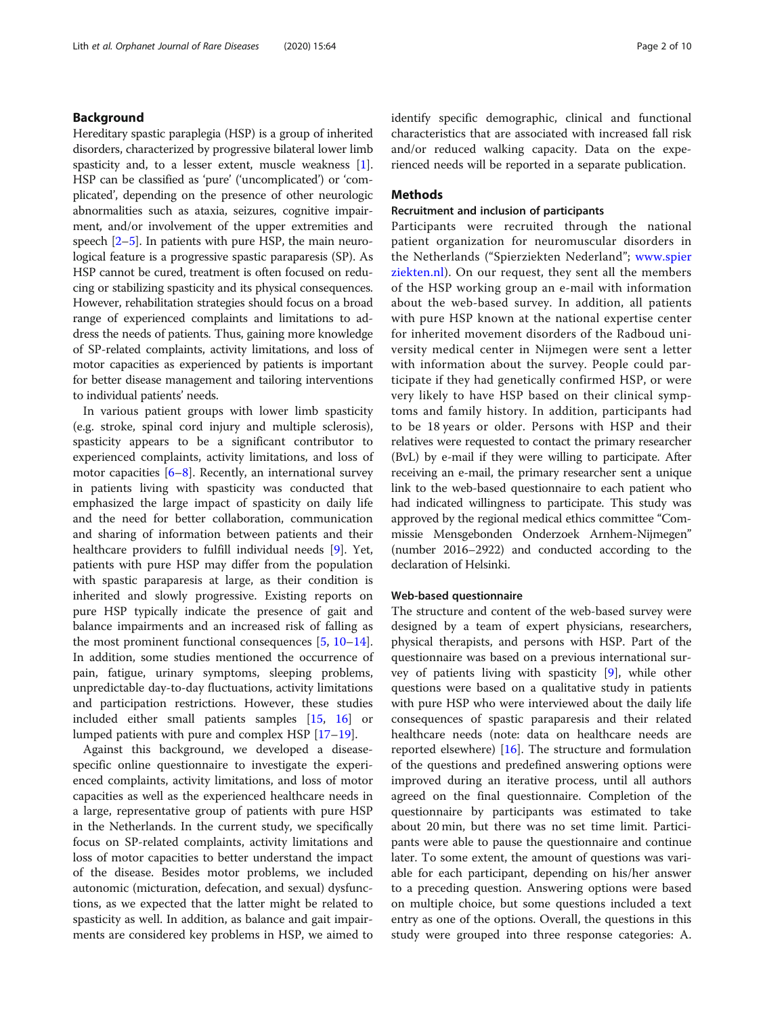#### Background

Hereditary spastic paraplegia (HSP) is a group of inherited disorders, characterized by progressive bilateral lower limb spasticity and, to a lesser extent, muscle weakness [[1](#page-8-0)]. HSP can be classified as 'pure' ('uncomplicated') or 'complicated', depending on the presence of other neurologic abnormalities such as ataxia, seizures, cognitive impairment, and/or involvement of the upper extremities and speech [[2](#page-8-0)–[5](#page-8-0)]. In patients with pure HSP, the main neurological feature is a progressive spastic paraparesis (SP). As HSP cannot be cured, treatment is often focused on reducing or stabilizing spasticity and its physical consequences. However, rehabilitation strategies should focus on a broad range of experienced complaints and limitations to address the needs of patients. Thus, gaining more knowledge of SP-related complaints, activity limitations, and loss of motor capacities as experienced by patients is important for better disease management and tailoring interventions to individual patients' needs.

In various patient groups with lower limb spasticity (e.g. stroke, spinal cord injury and multiple sclerosis), spasticity appears to be a significant contributor to experienced complaints, activity limitations, and loss of motor capacities  $[6–8]$  $[6–8]$  $[6–8]$ . Recently, an international survey in patients living with spasticity was conducted that emphasized the large impact of spasticity on daily life and the need for better collaboration, communication and sharing of information between patients and their healthcare providers to fulfill individual needs [[9\]](#page-8-0). Yet, patients with pure HSP may differ from the population with spastic paraparesis at large, as their condition is inherited and slowly progressive. Existing reports on pure HSP typically indicate the presence of gait and balance impairments and an increased risk of falling as the most prominent functional consequences [\[5](#page-8-0), [10](#page-8-0)–[14](#page-8-0)]. In addition, some studies mentioned the occurrence of pain, fatigue, urinary symptoms, sleeping problems, unpredictable day-to-day fluctuations, activity limitations and participation restrictions. However, these studies included either small patients samples [[15,](#page-8-0) [16](#page-8-0)] or lumped patients with pure and complex HSP [[17](#page-8-0)–[19](#page-8-0)].

Against this background, we developed a diseasespecific online questionnaire to investigate the experienced complaints, activity limitations, and loss of motor capacities as well as the experienced healthcare needs in a large, representative group of patients with pure HSP in the Netherlands. In the current study, we specifically focus on SP-related complaints, activity limitations and loss of motor capacities to better understand the impact of the disease. Besides motor problems, we included autonomic (micturation, defecation, and sexual) dysfunctions, as we expected that the latter might be related to spasticity as well. In addition, as balance and gait impairments are considered key problems in HSP, we aimed to identify specific demographic, clinical and functional characteristics that are associated with increased fall risk and/or reduced walking capacity. Data on the experienced needs will be reported in a separate publication.

#### Methods

#### Recruitment and inclusion of participants

Participants were recruited through the national patient organization for neuromuscular disorders in the Netherlands ("Spierziekten Nederland"; [www.spier](http://www.spierziekten.nl) [ziekten.nl\)](http://www.spierziekten.nl). On our request, they sent all the members of the HSP working group an e-mail with information about the web-based survey. In addition, all patients with pure HSP known at the national expertise center for inherited movement disorders of the Radboud university medical center in Nijmegen were sent a letter with information about the survey. People could participate if they had genetically confirmed HSP, or were very likely to have HSP based on their clinical symptoms and family history. In addition, participants had to be 18 years or older. Persons with HSP and their relatives were requested to contact the primary researcher (BvL) by e-mail if they were willing to participate. After receiving an e-mail, the primary researcher sent a unique link to the web-based questionnaire to each patient who had indicated willingness to participate. This study was approved by the regional medical ethics committee "Commissie Mensgebonden Onderzoek Arnhem-Nijmegen" (number 2016–2922) and conducted according to the declaration of Helsinki.

#### Web-based questionnaire

The structure and content of the web-based survey were designed by a team of expert physicians, researchers, physical therapists, and persons with HSP. Part of the questionnaire was based on a previous international survey of patients living with spasticity [\[9](#page-8-0)], while other questions were based on a qualitative study in patients with pure HSP who were interviewed about the daily life consequences of spastic paraparesis and their related healthcare needs (note: data on healthcare needs are reported elsewhere)  $[16]$  $[16]$ . The structure and formulation of the questions and predefined answering options were improved during an iterative process, until all authors agreed on the final questionnaire. Completion of the questionnaire by participants was estimated to take about 20 min, but there was no set time limit. Participants were able to pause the questionnaire and continue later. To some extent, the amount of questions was variable for each participant, depending on his/her answer to a preceding question. Answering options were based on multiple choice, but some questions included a text entry as one of the options. Overall, the questions in this study were grouped into three response categories: A.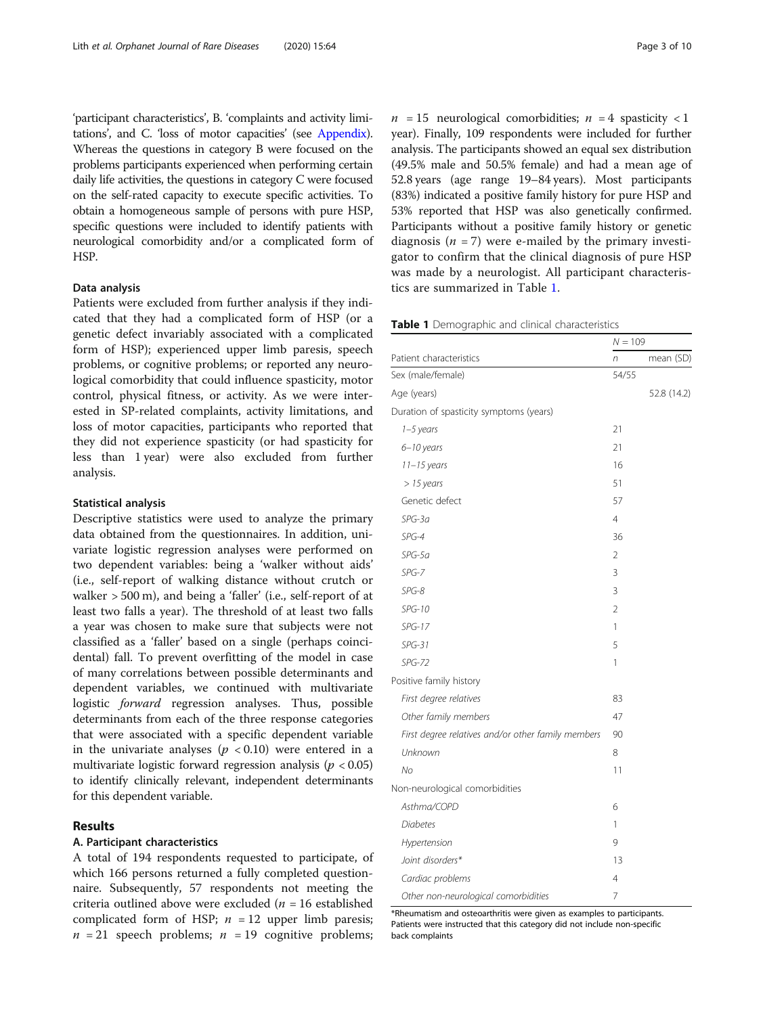'participant characteristics', B. 'complaints and activity limitations', and C. 'loss of motor capacities' (see [Appendix](#page-8-0)). Whereas the questions in category B were focused on the problems participants experienced when performing certain daily life activities, the questions in category C were focused on the self-rated capacity to execute specific activities. To obtain a homogeneous sample of persons with pure HSP, specific questions were included to identify patients with neurological comorbidity and/or a complicated form of HSP.

#### Data analysis

Patients were excluded from further analysis if they indicated that they had a complicated form of HSP (or a genetic defect invariably associated with a complicated form of HSP); experienced upper limb paresis, speech problems, or cognitive problems; or reported any neurological comorbidity that could influence spasticity, motor control, physical fitness, or activity. As we were interested in SP-related complaints, activity limitations, and loss of motor capacities, participants who reported that they did not experience spasticity (or had spasticity for less than 1 year) were also excluded from further analysis.

#### Statistical analysis

Descriptive statistics were used to analyze the primary data obtained from the questionnaires. In addition, univariate logistic regression analyses were performed on two dependent variables: being a 'walker without aids' (i.e., self-report of walking distance without crutch or walker > 500 m), and being a 'faller' (i.e., self-report of at least two falls a year). The threshold of at least two falls a year was chosen to make sure that subjects were not classified as a 'faller' based on a single (perhaps coincidental) fall. To prevent overfitting of the model in case of many correlations between possible determinants and dependent variables, we continued with multivariate logistic forward regression analyses. Thus, possible determinants from each of the three response categories that were associated with a specific dependent variable in the univariate analyses ( $p < 0.10$ ) were entered in a multivariate logistic forward regression analysis ( $p < 0.05$ ) to identify clinically relevant, independent determinants for this dependent variable.

#### Results

#### A. Participant characteristics

A total of 194 respondents requested to participate, of which 166 persons returned a fully completed questionnaire. Subsequently, 57 respondents not meeting the criteria outlined above were excluded ( $n = 16$  established complicated form of HSP;  $n = 12$  upper limb paresis;  $n = 21$  speech problems;  $n = 19$  cognitive problems;  $n = 15$  neurological comorbidities;  $n = 4$  spasticity < 1 year). Finally, 109 respondents were included for further analysis. The participants showed an equal sex distribution (49.5% male and 50.5% female) and had a mean age of 52.8 years (age range 19–84 years). Most participants (83%) indicated a positive family history for pure HSP and 53% reported that HSP was also genetically confirmed. Participants without a positive family history or genetic diagnosis ( $n = 7$ ) were e-mailed by the primary investigator to confirm that the clinical diagnosis of pure HSP was made by a neurologist. All participant characteristics are summarized in Table 1.

|  | Table 1 Demographic and clinical characteristics |  |  |  |  |
|--|--------------------------------------------------|--|--|--|--|
|--|--------------------------------------------------|--|--|--|--|

|                                                    | $N = 109$      |             |  |
|----------------------------------------------------|----------------|-------------|--|
| Patient characteristics                            | n              | mean (SD)   |  |
| Sex (male/female)                                  | 54/55          |             |  |
| Age (years)                                        |                | 52.8 (14.2) |  |
| Duration of spasticity symptoms (years)            |                |             |  |
| 1-5 years                                          | 21             |             |  |
| 6-10 years                                         | 21             |             |  |
| $11 - 15$ years                                    | 16             |             |  |
| $> 15$ years                                       | 51             |             |  |
| Genetic defect                                     | 57             |             |  |
| $SPG-3a$                                           | 4              |             |  |
| $SPG-4$                                            | 36             |             |  |
| $SPG-5a$                                           | $\overline{2}$ |             |  |
| $SPG-7$                                            | 3              |             |  |
| $SPG-8$                                            | 3              |             |  |
| $SPG-10$                                           | $\overline{2}$ |             |  |
| $SPG-17$                                           | 1              |             |  |
| $SPG-31$                                           | 5              |             |  |
| <b>SPG-72</b>                                      | 1              |             |  |
| Positive family history                            |                |             |  |
| First degree relatives                             | 83             |             |  |
| Other family members                               | 47             |             |  |
| First degree relatives and/or other family members | 90             |             |  |
| Unknown                                            | 8              |             |  |
| No                                                 | 11             |             |  |
| Non-neurological comorbidities                     |                |             |  |
| Asthma/COPD                                        | 6              |             |  |
| Diabetes                                           | 1              |             |  |
| Hypertension                                       | 9              |             |  |
| Joint disorders*                                   | 13             |             |  |
| Cardiac problems                                   | 4              |             |  |
| Other non-neurological comorbidities               | 7              |             |  |

\*Rheumatism and osteoarthritis were given as examples to participants. Patients were instructed that this category did not include non-specific back complaints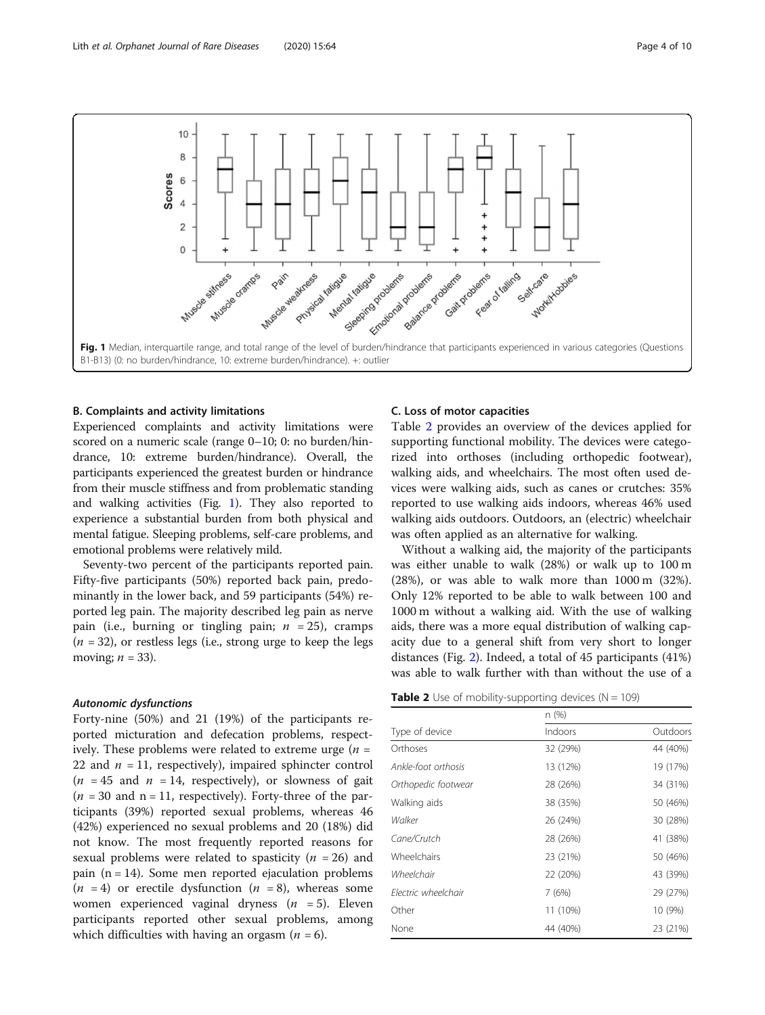

#### B. Complaints and activity limitations

Experienced complaints and activity limitations were scored on a numeric scale (range 0–10; 0: no burden/hindrance, 10: extreme burden/hindrance). Overall, the participants experienced the greatest burden or hindrance from their muscle stiffness and from problematic standing and walking activities (Fig. 1). They also reported to experience a substantial burden from both physical and mental fatigue. Sleeping problems, self-care problems, and emotional problems were relatively mild.

Seventy-two percent of the participants reported pain. Fifty-five participants (50%) reported back pain, predominantly in the lower back, and 59 participants (54%) reported leg pain. The majority described leg pain as nerve pain (i.e., burning or tingling pain;  $n = 25$ ), cramps  $(n = 32)$ , or restless legs (i.e., strong urge to keep the legs moving;  $n = 33$ ).

#### Autonomic dysfunctions

Forty-nine (50%) and 21 (19%) of the participants reported micturation and defecation problems, respectively. These problems were related to extreme urge  $(n =$ 22 and  $n = 11$ , respectively), impaired sphincter control  $(n = 45$  and  $n = 14$ , respectively), or slowness of gait  $(n = 30 \text{ and } n = 11,$  respectively). Forty-three of the participants (39%) reported sexual problems, whereas 46 (42%) experienced no sexual problems and 20 (18%) did not know. The most frequently reported reasons for sexual problems were related to spasticity ( $n = 26$ ) and pain ( $n = 14$ ). Some men reported ejaculation problems  $(n = 4)$  or erectile dysfunction  $(n = 8)$ , whereas some women experienced vaginal dryness  $(n = 5)$ . Eleven participants reported other sexual problems, among which difficulties with having an orgasm  $(n = 6)$ .

#### C. Loss of motor capacities

Table 2 provides an overview of the devices applied for supporting functional mobility. The devices were categorized into orthoses (including orthopedic footwear), walking aids, and wheelchairs. The most often used devices were walking aids, such as canes or crutches: 35% reported to use walking aids indoors, whereas 46% used walking aids outdoors. Outdoors, an (electric) wheelchair was often applied as an alternative for walking.

Without a walking aid, the majority of the participants was either unable to walk (28%) or walk up to 100 m (28%), or was able to walk more than 1000 m (32%). Only 12% reported to be able to walk between 100 and 1000 m without a walking aid. With the use of walking aids, there was a more equal distribution of walking capacity due to a general shift from very short to longer distances (Fig. [2](#page-4-0)). Indeed, a total of 45 participants (41%) was able to walk further with than without the use of a

|  |  | <b>Table 2</b> Use of mobility-supporting devices ( $N = 109$ ) |  |
|--|--|-----------------------------------------------------------------|--|
|--|--|-----------------------------------------------------------------|--|

|                     | n (%)    |          |  |
|---------------------|----------|----------|--|
| Type of device      | Indoors  | Outdoors |  |
| Orthoses            | 32 (29%) | 44 (40%) |  |
| Ankle-foot orthosis | 13 (12%) | 19 (17%) |  |
| Orthopedic footwear | 28 (26%) | 34 (31%) |  |
| Walking aids        | 38 (35%) | 50 (46%) |  |
| Walker              | 26 (24%) | 30 (28%) |  |
| Cane/Crutch         | 28 (26%) | 41 (38%) |  |
| Wheelchairs         | 23 (21%) | 50 (46%) |  |
| Wheelchair          | 22 (20%) | 43 (39%) |  |
| Flectric wheelchair | 7(6%)    | 29 (27%) |  |
| Other               | 11 (10%) | 10 (9%)  |  |
| None                | 44 (40%) | 23 (21%) |  |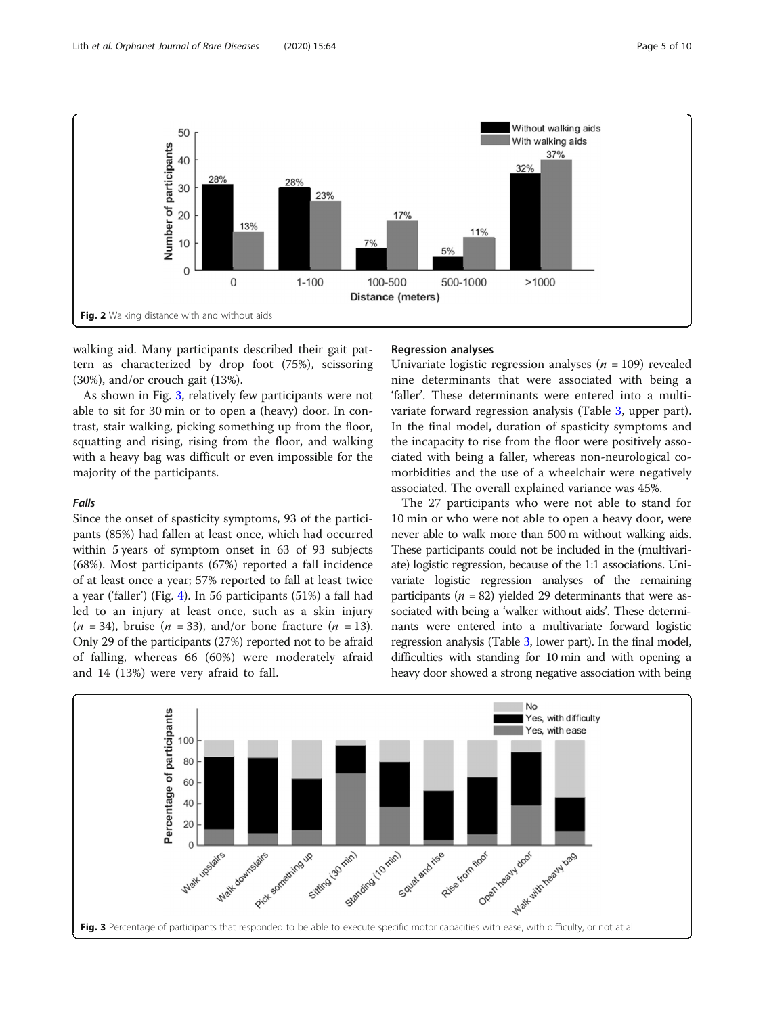

<span id="page-4-0"></span>

walking aid. Many participants described their gait pattern as characterized by drop foot (75%), scissoring (30%), and/or crouch gait (13%).

As shown in Fig. 3, relatively few participants were not able to sit for 30 min or to open a (heavy) door. In contrast, stair walking, picking something up from the floor, squatting and rising, rising from the floor, and walking with a heavy bag was difficult or even impossible for the majority of the participants.

#### Falls

Since the onset of spasticity symptoms, 93 of the participants (85%) had fallen at least once, which had occurred within 5 years of symptom onset in 63 of 93 subjects (68%). Most participants (67%) reported a fall incidence of at least once a year; 57% reported to fall at least twice a year ('faller') (Fig. [4](#page-5-0)). In 56 participants (51%) a fall had led to an injury at least once, such as a skin injury  $(n = 34)$ , bruise  $(n = 33)$ , and/or bone fracture  $(n = 13)$ . Only 29 of the participants (27%) reported not to be afraid of falling, whereas 66 (60%) were moderately afraid and 14 (13%) were very afraid to fall.

#### Regression analyses

Univariate logistic regression analyses ( $n = 109$ ) revealed nine determinants that were associated with being a 'faller'. These determinants were entered into a multivariate forward regression analysis (Table [3](#page-5-0), upper part). In the final model, duration of spasticity symptoms and the incapacity to rise from the floor were positively associated with being a faller, whereas non-neurological comorbidities and the use of a wheelchair were negatively associated. The overall explained variance was 45%.

The 27 participants who were not able to stand for 10 min or who were not able to open a heavy door, were never able to walk more than 500 m without walking aids. These participants could not be included in the (multivariate) logistic regression, because of the 1:1 associations. Univariate logistic regression analyses of the remaining participants ( $n = 82$ ) yielded 29 determinants that were associated with being a 'walker without aids'. These determinants were entered into a multivariate forward logistic regression analysis (Table [3,](#page-5-0) lower part). In the final model, difficulties with standing for 10 min and with opening a heavy door showed a strong negative association with being

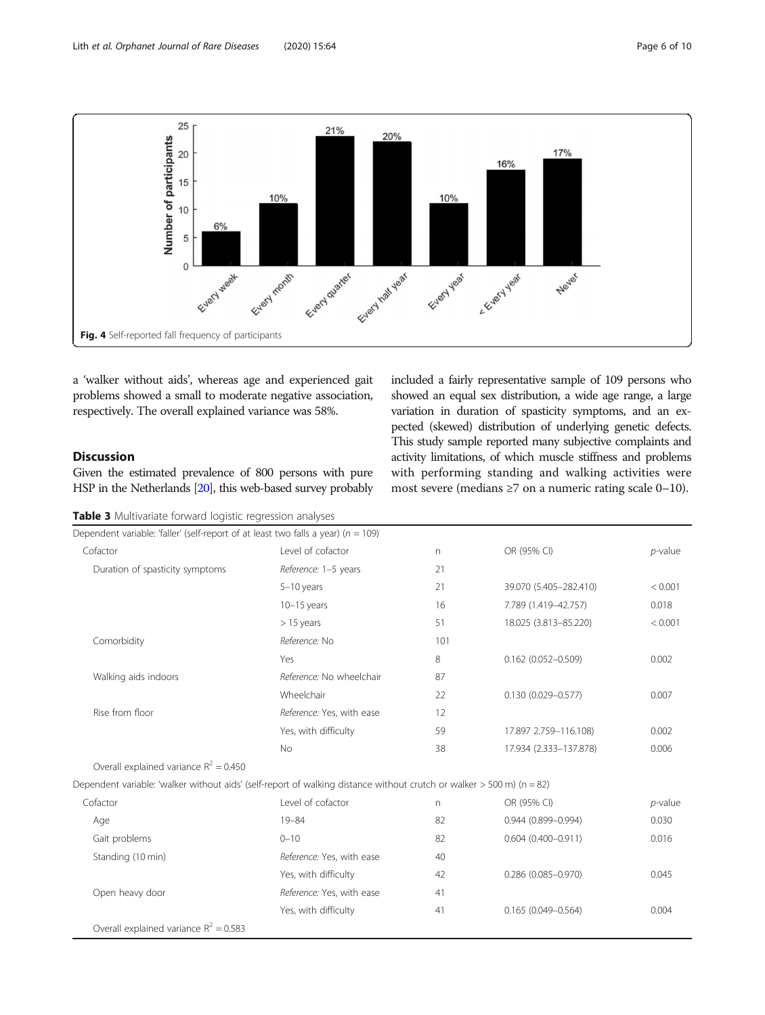<span id="page-5-0"></span>

a 'walker without aids', whereas age and experienced gait problems showed a small to moderate negative association, respectively. The overall explained variance was 58%.

#### Discussion

Given the estimated prevalence of 800 persons with pure HSP in the Netherlands [\[20](#page-8-0)], this web-based survey probably

| Table 3 Multivariate forward logistic regression analyses |  |  |  |
|-----------------------------------------------------------|--|--|--|
|-----------------------------------------------------------|--|--|--|

included a fairly representative sample of 109 persons who showed an equal sex distribution, a wide age range, a large variation in duration of spasticity symptoms, and an expected (skewed) distribution of underlying genetic defects. This study sample reported many subjective complaints and activity limitations, of which muscle stiffness and problems with performing standing and walking activities were most severe (medians ≥7 on a numeric rating scale 0–10).

| Dependent variable: 'faller' (self-report of at least two falls a year) ( $n = 109$ )                                 |                           |     |                        |            |
|-----------------------------------------------------------------------------------------------------------------------|---------------------------|-----|------------------------|------------|
| Cofactor                                                                                                              | Level of cofactor         | n   | OR (95% CI)            | $p$ -value |
| Duration of spasticity symptoms                                                                                       | Reference: 1-5 years      | 21  |                        |            |
|                                                                                                                       | $5-10$ years              | 21  | 39.070 (5.405-282.410) | < 0.001    |
|                                                                                                                       | $10-15$ years             | 16  | 7.789 (1.419-42.757)   | 0.018      |
|                                                                                                                       | $> 15$ years              | 51  | 18.025 (3.813-85.220)  | < 0.001    |
| Comorbidity                                                                                                           | Reference: No             | 101 |                        |            |
|                                                                                                                       | Yes                       | 8   | $0.162$ (0.052-0.509)  | 0.002      |
| Walking aids indoors                                                                                                  | Reference: No wheelchair  | 87  |                        |            |
|                                                                                                                       | Wheelchair                | 22  | $0.130(0.029 - 0.577)$ | 0.007      |
| Rise from floor                                                                                                       | Reference: Yes, with ease | 12  |                        |            |
|                                                                                                                       | Yes, with difficulty      | 59  | 17.897 2.759-116.108)  | 0.002      |
|                                                                                                                       | <b>No</b>                 | 38  | 17.934 (2.333-137.878) | 0.006      |
| Overall explained variance $R^2 = 0.450$                                                                              |                           |     |                        |            |
| Dependent variable: 'walker without aids' (self-report of walking distance without crutch or walker > 500 m) (n = 82) |                           |     |                        |            |
| Cofactor                                                                                                              | Level of cofactor         | n   | OR (95% CI)            | $p$ -value |
| Age                                                                                                                   | $19 - 84$                 | 82  | $0.944(0.899 - 0.994)$ | 0.030      |
| Gait problems                                                                                                         | $0 - 10$                  | 82  | $0.604(0.400 - 0.911)$ | 0.016      |
| Standing (10 min)                                                                                                     | Reference: Yes, with ease | 40  |                        |            |
|                                                                                                                       | Yes, with difficulty      | 42  | $0.286$ (0.085-0.970)  | 0.045      |
| Open heavy door                                                                                                       | Reference: Yes, with ease | 41  |                        |            |
|                                                                                                                       | Yes, with difficulty      | 41  | $0.165(0.049 - 0.564)$ | 0.004      |
| Overall explained variance $R^2 = 0.583$                                                                              |                           |     |                        |            |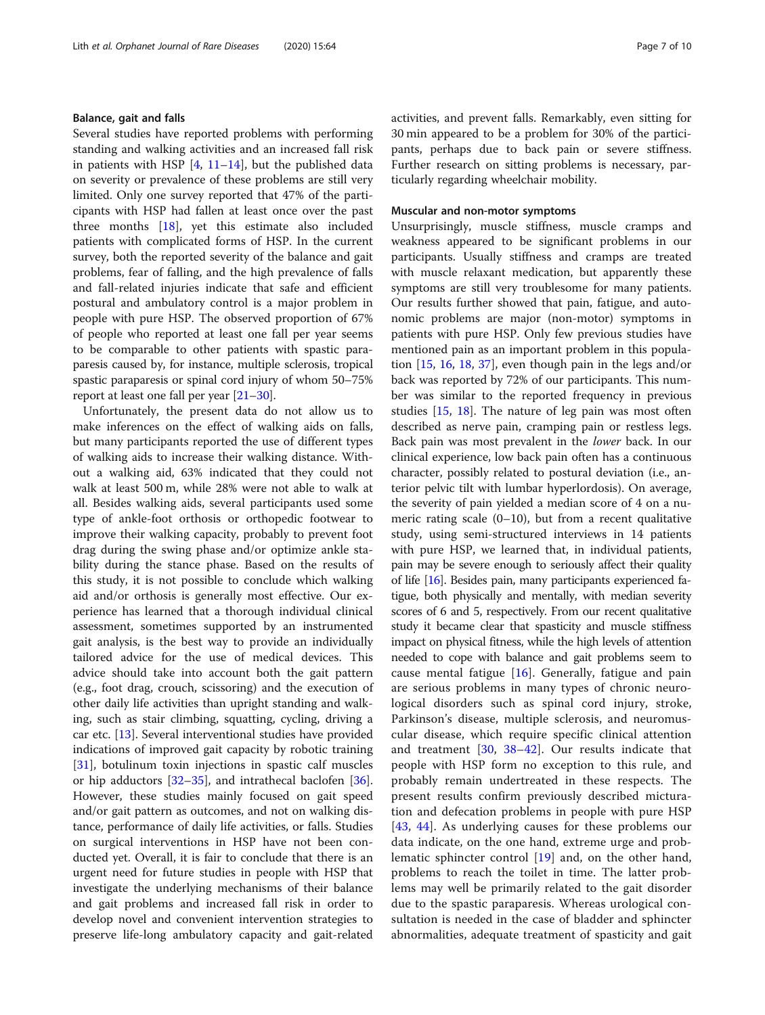#### Balance, gait and falls

Several studies have reported problems with performing standing and walking activities and an increased fall risk in patients with HSP  $[4, 11-14]$  $[4, 11-14]$  $[4, 11-14]$  $[4, 11-14]$  $[4, 11-14]$  $[4, 11-14]$  $[4, 11-14]$ , but the published data on severity or prevalence of these problems are still very limited. Only one survey reported that 47% of the participants with HSP had fallen at least once over the past three months [[18](#page-8-0)], yet this estimate also included patients with complicated forms of HSP. In the current survey, both the reported severity of the balance and gait problems, fear of falling, and the high prevalence of falls and fall-related injuries indicate that safe and efficient postural and ambulatory control is a major problem in people with pure HSP. The observed proportion of 67% of people who reported at least one fall per year seems to be comparable to other patients with spastic paraparesis caused by, for instance, multiple sclerosis, tropical spastic paraparesis or spinal cord injury of whom 50–75% report at least one fall per year [\[21](#page-8-0)–[30\]](#page-9-0).

Unfortunately, the present data do not allow us to make inferences on the effect of walking aids on falls, but many participants reported the use of different types of walking aids to increase their walking distance. Without a walking aid, 63% indicated that they could not walk at least 500 m, while 28% were not able to walk at all. Besides walking aids, several participants used some type of ankle-foot orthosis or orthopedic footwear to improve their walking capacity, probably to prevent foot drag during the swing phase and/or optimize ankle stability during the stance phase. Based on the results of this study, it is not possible to conclude which walking aid and/or orthosis is generally most effective. Our experience has learned that a thorough individual clinical assessment, sometimes supported by an instrumented gait analysis, is the best way to provide an individually tailored advice for the use of medical devices. This advice should take into account both the gait pattern (e.g., foot drag, crouch, scissoring) and the execution of other daily life activities than upright standing and walking, such as stair climbing, squatting, cycling, driving a car etc. [\[13](#page-8-0)]. Several interventional studies have provided indications of improved gait capacity by robotic training [[31\]](#page-9-0), botulinum toxin injections in spastic calf muscles or hip adductors  $[32-35]$  $[32-35]$  $[32-35]$ , and intrathecal baclofen  $[36]$  $[36]$ . However, these studies mainly focused on gait speed and/or gait pattern as outcomes, and not on walking distance, performance of daily life activities, or falls. Studies on surgical interventions in HSP have not been conducted yet. Overall, it is fair to conclude that there is an urgent need for future studies in people with HSP that investigate the underlying mechanisms of their balance and gait problems and increased fall risk in order to develop novel and convenient intervention strategies to preserve life-long ambulatory capacity and gait-related activities, and prevent falls. Remarkably, even sitting for 30 min appeared to be a problem for 30% of the participants, perhaps due to back pain or severe stiffness. Further research on sitting problems is necessary, particularly regarding wheelchair mobility.

#### Muscular and non-motor symptoms

Unsurprisingly, muscle stiffness, muscle cramps and weakness appeared to be significant problems in our participants. Usually stiffness and cramps are treated with muscle relaxant medication, but apparently these symptoms are still very troublesome for many patients. Our results further showed that pain, fatigue, and autonomic problems are major (non-motor) symptoms in patients with pure HSP. Only few previous studies have mentioned pain as an important problem in this population [\[15](#page-8-0), [16](#page-8-0), [18](#page-8-0), [37](#page-9-0)], even though pain in the legs and/or back was reported by 72% of our participants. This number was similar to the reported frequency in previous studies [\[15,](#page-8-0) [18\]](#page-8-0). The nature of leg pain was most often described as nerve pain, cramping pain or restless legs. Back pain was most prevalent in the lower back. In our clinical experience, low back pain often has a continuous character, possibly related to postural deviation (i.e., anterior pelvic tilt with lumbar hyperlordosis). On average, the severity of pain yielded a median score of 4 on a numeric rating scale  $(0-10)$ , but from a recent qualitative study, using semi-structured interviews in 14 patients with pure HSP, we learned that, in individual patients, pain may be severe enough to seriously affect their quality of life [\[16\]](#page-8-0). Besides pain, many participants experienced fatigue, both physically and mentally, with median severity scores of 6 and 5, respectively. From our recent qualitative study it became clear that spasticity and muscle stiffness impact on physical fitness, while the high levels of attention needed to cope with balance and gait problems seem to cause mental fatigue  $[16]$  $[16]$ . Generally, fatigue and pain are serious problems in many types of chronic neurological disorders such as spinal cord injury, stroke, Parkinson's disease, multiple sclerosis, and neuromuscular disease, which require specific clinical attention and treatment [[30,](#page-9-0) [38](#page-9-0)–[42](#page-9-0)]. Our results indicate that people with HSP form no exception to this rule, and probably remain undertreated in these respects. The present results confirm previously described micturation and defecation problems in people with pure HSP [[43,](#page-9-0) [44](#page-9-0)]. As underlying causes for these problems our data indicate, on the one hand, extreme urge and problematic sphincter control [[19](#page-8-0)] and, on the other hand, problems to reach the toilet in time. The latter problems may well be primarily related to the gait disorder due to the spastic paraparesis. Whereas urological consultation is needed in the case of bladder and sphincter abnormalities, adequate treatment of spasticity and gait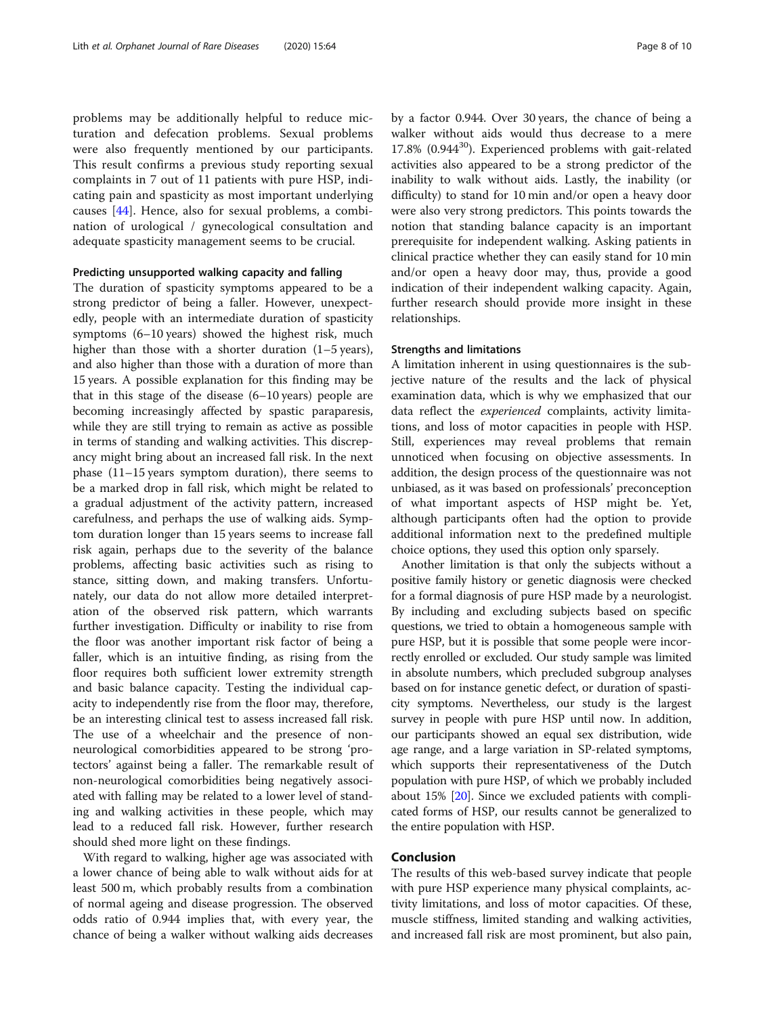problems may be additionally helpful to reduce micturation and defecation problems. Sexual problems were also frequently mentioned by our participants. This result confirms a previous study reporting sexual complaints in 7 out of 11 patients with pure HSP, indicating pain and spasticity as most important underlying causes [\[44](#page-9-0)]. Hence, also for sexual problems, a combination of urological / gynecological consultation and adequate spasticity management seems to be crucial.

#### Predicting unsupported walking capacity and falling

The duration of spasticity symptoms appeared to be a strong predictor of being a faller. However, unexpectedly, people with an intermediate duration of spasticity symptoms (6–10 years) showed the highest risk, much higher than those with a shorter duration (1–5 years), and also higher than those with a duration of more than 15 years. A possible explanation for this finding may be that in this stage of the disease (6–10 years) people are becoming increasingly affected by spastic paraparesis, while they are still trying to remain as active as possible in terms of standing and walking activities. This discrepancy might bring about an increased fall risk. In the next phase (11–15 years symptom duration), there seems to be a marked drop in fall risk, which might be related to a gradual adjustment of the activity pattern, increased carefulness, and perhaps the use of walking aids. Symptom duration longer than 15 years seems to increase fall risk again, perhaps due to the severity of the balance problems, affecting basic activities such as rising to stance, sitting down, and making transfers. Unfortunately, our data do not allow more detailed interpretation of the observed risk pattern, which warrants further investigation. Difficulty or inability to rise from the floor was another important risk factor of being a faller, which is an intuitive finding, as rising from the floor requires both sufficient lower extremity strength and basic balance capacity. Testing the individual capacity to independently rise from the floor may, therefore, be an interesting clinical test to assess increased fall risk. The use of a wheelchair and the presence of nonneurological comorbidities appeared to be strong 'protectors' against being a faller. The remarkable result of non-neurological comorbidities being negatively associated with falling may be related to a lower level of standing and walking activities in these people, which may lead to a reduced fall risk. However, further research should shed more light on these findings.

With regard to walking, higher age was associated with a lower chance of being able to walk without aids for at least 500 m, which probably results from a combination of normal ageing and disease progression. The observed odds ratio of 0.944 implies that, with every year, the chance of being a walker without walking aids decreases

by a factor 0.944. Over 30 years, the chance of being a walker without aids would thus decrease to a mere  $17.8\%$  (0.944 $^{30}$ ). Experienced problems with gait-related activities also appeared to be a strong predictor of the inability to walk without aids. Lastly, the inability (or difficulty) to stand for 10 min and/or open a heavy door were also very strong predictors. This points towards the notion that standing balance capacity is an important prerequisite for independent walking. Asking patients in clinical practice whether they can easily stand for 10 min and/or open a heavy door may, thus, provide a good indication of their independent walking capacity. Again, further research should provide more insight in these relationships.

#### Strengths and limitations

A limitation inherent in using questionnaires is the subjective nature of the results and the lack of physical examination data, which is why we emphasized that our data reflect the experienced complaints, activity limitations, and loss of motor capacities in people with HSP. Still, experiences may reveal problems that remain unnoticed when focusing on objective assessments. In addition, the design process of the questionnaire was not unbiased, as it was based on professionals' preconception of what important aspects of HSP might be. Yet, although participants often had the option to provide additional information next to the predefined multiple choice options, they used this option only sparsely.

Another limitation is that only the subjects without a positive family history or genetic diagnosis were checked for a formal diagnosis of pure HSP made by a neurologist. By including and excluding subjects based on specific questions, we tried to obtain a homogeneous sample with pure HSP, but it is possible that some people were incorrectly enrolled or excluded. Our study sample was limited in absolute numbers, which precluded subgroup analyses based on for instance genetic defect, or duration of spasticity symptoms. Nevertheless, our study is the largest survey in people with pure HSP until now. In addition, our participants showed an equal sex distribution, wide age range, and a large variation in SP-related symptoms, which supports their representativeness of the Dutch population with pure HSP, of which we probably included about 15% [\[20\]](#page-8-0). Since we excluded patients with complicated forms of HSP, our results cannot be generalized to the entire population with HSP.

#### Conclusion

The results of this web-based survey indicate that people with pure HSP experience many physical complaints, activity limitations, and loss of motor capacities. Of these, muscle stiffness, limited standing and walking activities, and increased fall risk are most prominent, but also pain,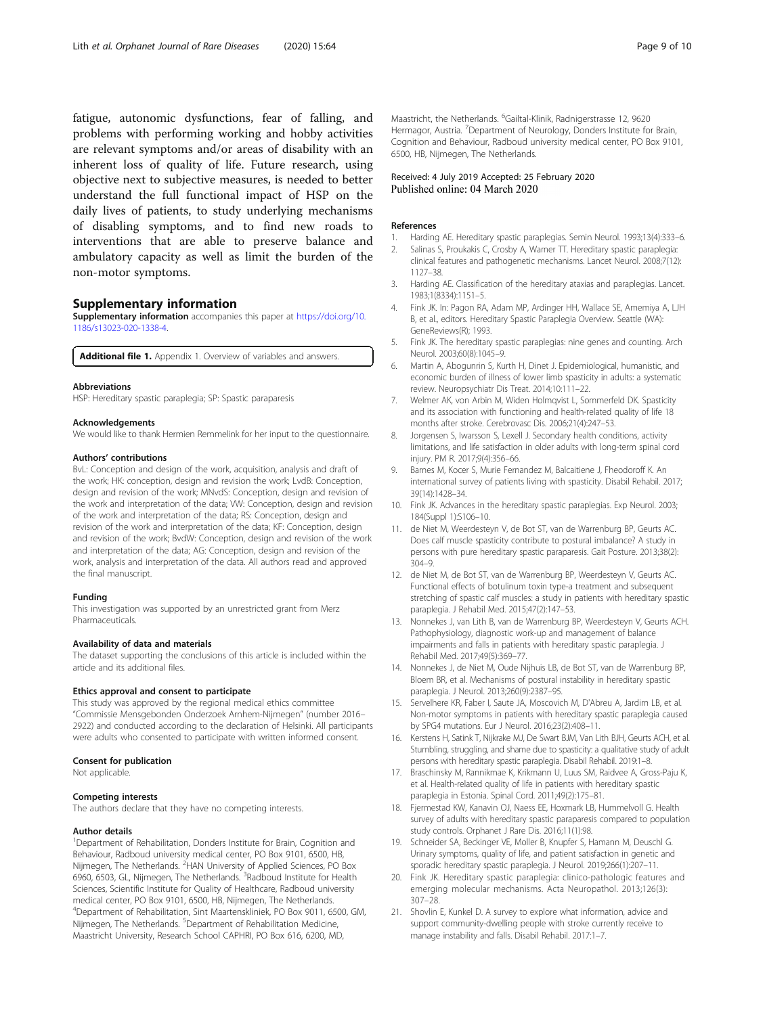<span id="page-8-0"></span>fatigue, autonomic dysfunctions, fear of falling, and problems with performing working and hobby activities are relevant symptoms and/or areas of disability with an inherent loss of quality of life. Future research, using objective next to subjective measures, is needed to better understand the full functional impact of HSP on the daily lives of patients, to study underlying mechanisms of disabling symptoms, and to find new roads to interventions that are able to preserve balance and ambulatory capacity as well as limit the burden of the non-motor symptoms.

#### Supplementary information

Supplementary information accompanies this paper at [https://doi.org/10.](https://doi.org/10.1186/s13023-020-1338-4) [1186/s13023-020-1338-4.](https://doi.org/10.1186/s13023-020-1338-4)

Additional file 1. Appendix 1. Overview of variables and answers.

#### Abbreviations

HSP: Hereditary spastic paraplegia; SP: Spastic paraparesis

#### Acknowledgements

We would like to thank Hermien Remmelink for her input to the questionnaire.

#### Authors' contributions

BvL: Conception and design of the work, acquisition, analysis and draft of the work; HK: conception, design and revision the work; LvdB: Conception, design and revision of the work; MNvdS: Conception, design and revision of the work and interpretation of the data; VW: Conception, design and revision of the work and interpretation of the data; RS: Conception, design and revision of the work and interpretation of the data; KF: Conception, design and revision of the work; BvdW: Conception, design and revision of the work and interpretation of the data; AG: Conception, design and revision of the work, analysis and interpretation of the data. All authors read and approved the final manuscript.

#### Funding

This investigation was supported by an unrestricted grant from Merz Pharmaceuticals.

#### Availability of data and materials

The dataset supporting the conclusions of this article is included within the article and its additional files.

#### Ethics approval and consent to participate

This study was approved by the regional medical ethics committee "Commissie Mensgebonden Onderzoek Arnhem-Nijmegen" (number 2016– 2922) and conducted according to the declaration of Helsinki. All participants were adults who consented to participate with written informed consent.

#### Consent for publication

Not applicable.

#### Competing interests

The authors declare that they have no competing interests.

#### Author details

<sup>1</sup>Department of Rehabilitation, Donders Institute for Brain, Cognition and Behaviour, Radboud university medical center, PO Box 9101, 6500, HB, Nijmegen, The Netherlands. <sup>2</sup>HAN University of Applied Sciences, PO Box 6960, 6503, GL, Nijmegen, The Netherlands. <sup>3</sup>Radboud Institute for Health Sciences, Scientific Institute for Quality of Healthcare, Radboud university medical center, PO Box 9101, 6500, HB, Nijmegen, The Netherlands. 4 Department of Rehabilitation, Sint Maartenskliniek, PO Box 9011, 6500, GM, Nijmegen, The Netherlands. <sup>5</sup>Department of Rehabilitation Medicine, Maastricht University, Research School CAPHRI, PO Box 616, 6200, MD,

Maastricht, the Netherlands. <sup>6</sup>Gailtal-Klinik, Radnigerstrasse 12, 9620 Hermagor, Austria. <sup>7</sup> Department of Neurology, Donders Institute for Brain, Cognition and Behaviour, Radboud university medical center, PO Box 9101, 6500, HB, Nijmegen, The Netherlands.

#### Received: 4 July 2019 Accepted: 25 February 2020 Published online: 04 March 2020

#### References

- 1. Harding AE. Hereditary spastic paraplegias. Semin Neurol. 1993;13(4):333–6.
- 2. Salinas S, Proukakis C, Crosby A, Warner TT. Hereditary spastic paraplegia: clinical features and pathogenetic mechanisms. Lancet Neurol. 2008;7(12): 1127–38.
- 3. Harding AE. Classification of the hereditary ataxias and paraplegias. Lancet. 1983;1(8334):1151–5.
- 4. Fink JK. In: Pagon RA, Adam MP, Ardinger HH, Wallace SE, Amemiya A, LJH B, et al., editors. Hereditary Spastic Paraplegia Overview. Seattle (WA): GeneReviews(R); 1993.
- 5. Fink JK. The hereditary spastic paraplegias: nine genes and counting. Arch Neurol. 2003;60(8):1045–9.
- 6. Martin A, Abogunrin S, Kurth H, Dinet J. Epidemiological, humanistic, and economic burden of illness of lower limb spasticity in adults: a systematic review. Neuropsychiatr Dis Treat. 2014;10:111–22.
- 7. Welmer AK, von Arbin M, Widen Holmqvist L, Sommerfeld DK. Spasticity and its association with functioning and health-related quality of life 18 months after stroke. Cerebrovasc Dis. 2006;21(4):247–53.
- 8. Jorgensen S, Iwarsson S, Lexell J. Secondary health conditions, activity limitations, and life satisfaction in older adults with long-term spinal cord injury. PM R. 2017;9(4):356–66.
- Barnes M, Kocer S, Murie Fernandez M, Balcaitiene J, Fheodoroff K. An international survey of patients living with spasticity. Disabil Rehabil. 2017; 39(14):1428–34.
- 10. Fink JK. Advances in the hereditary spastic paraplegias. Exp Neurol. 2003; 184(Suppl 1):S106–10.
- 11. de Niet M, Weerdesteyn V, de Bot ST, van de Warrenburg BP, Geurts AC. Does calf muscle spasticity contribute to postural imbalance? A study in persons with pure hereditary spastic paraparesis. Gait Posture. 2013;38(2): 304–9.
- 12. de Niet M, de Bot ST, van de Warrenburg BP, Weerdesteyn V, Geurts AC. Functional effects of botulinum toxin type-a treatment and subsequent stretching of spastic calf muscles: a study in patients with hereditary spastic paraplegia. J Rehabil Med. 2015;47(2):147–53.
- 13. Nonnekes J, van Lith B, van de Warrenburg BP, Weerdesteyn V, Geurts ACH. Pathophysiology, diagnostic work-up and management of balance impairments and falls in patients with hereditary spastic paraplegia. J Rehabil Med. 2017;49(5):369–77.
- 14. Nonnekes J, de Niet M, Oude Nijhuis LB, de Bot ST, van de Warrenburg BP, Bloem BR, et al. Mechanisms of postural instability in hereditary spastic paraplegia. J Neurol. 2013;260(9):2387–95.
- 15. Servelhere KR, Faber I, Saute JA, Moscovich M, D'Abreu A, Jardim LB, et al. Non-motor symptoms in patients with hereditary spastic paraplegia caused by SPG4 mutations. Eur J Neurol. 2016;23(2):408–11.
- 16. Kerstens H, Satink T, Nijkrake MJ, De Swart BJM, Van Lith BJH, Geurts ACH, et al. Stumbling, struggling, and shame due to spasticity: a qualitative study of adult persons with hereditary spastic paraplegia. Disabil Rehabil. 2019:1–8.
- 17. Braschinsky M, Rannikmae K, Krikmann U, Luus SM, Raidvee A, Gross-Paju K, et al. Health-related quality of life in patients with hereditary spastic paraplegia in Estonia. Spinal Cord. 2011;49(2):175–81.
- 18. Fjermestad KW, Kanavin OJ, Naess EE, Hoxmark LB, Hummelvoll G. Health survey of adults with hereditary spastic paraparesis compared to population study controls. Orphanet J Rare Dis. 2016;11(1):98.
- 19. Schneider SA, Beckinger VE, Moller B, Knupfer S, Hamann M, Deuschl G. Urinary symptoms, quality of life, and patient satisfaction in genetic and sporadic hereditary spastic paraplegia. J Neurol. 2019;266(1):207–11.
- 20. Fink JK. Hereditary spastic paraplegia: clinico-pathologic features and emerging molecular mechanisms. Acta Neuropathol. 2013;126(3): 307–28.
- 21. Shovlin E, Kunkel D. A survey to explore what information, advice and support community-dwelling people with stroke currently receive to manage instability and falls. Disabil Rehabil. 2017:1–7.